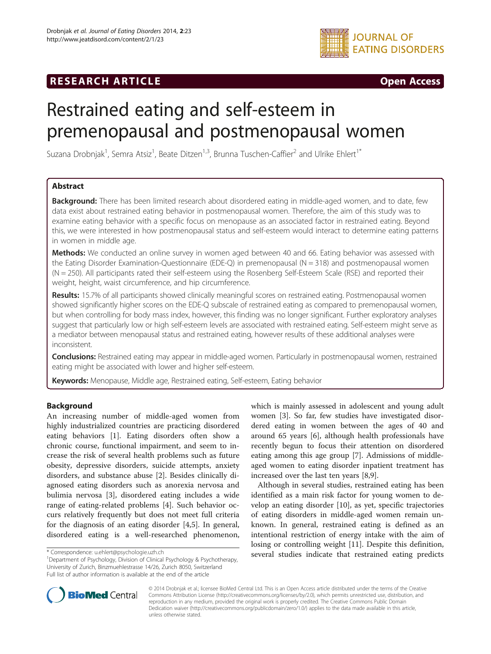## **RESEARCH ARTICLE Example 2014 CONSIDERING A RESEARCH ARTICLE**



# Restrained eating and self-esteem in premenopausal and postmenopausal women

Suzana Drobnjak<sup>1</sup>, Semra Atsiz<sup>1</sup>, Beate Ditzen<sup>1,3</sup>, Brunna Tuschen-Caffier<sup>2</sup> and Ulrike Ehlert<sup>1\*</sup>

## Abstract

Background: There has been limited research about disordered eating in middle-aged women, and to date, few data exist about restrained eating behavior in postmenopausal women. Therefore, the aim of this study was to examine eating behavior with a specific focus on menopause as an associated factor in restrained eating. Beyond this, we were interested in how postmenopausal status and self-esteem would interact to determine eating patterns in women in middle age.

Methods: We conducted an online survey in women aged between 40 and 66. Eating behavior was assessed with the Eating Disorder Examination-Questionnaire (EDE-Q) in premenopausal (N = 318) and postmenopausal women (N = 250). All participants rated their self-esteem using the Rosenberg Self-Esteem Scale (RSE) and reported their weight, height, waist circumference, and hip circumference.

Results: 15.7% of all participants showed clinically meaningful scores on restrained eating. Postmenopausal women showed significantly higher scores on the EDE-Q subscale of restrained eating as compared to premenopausal women, but when controlling for body mass index, however, this finding was no longer significant. Further exploratory analyses suggest that particularly low or high self-esteem levels are associated with restrained eating. Self-esteem might serve as a mediator between menopausal status and restrained eating, however results of these additional analyses were inconsistent.

Conclusions: Restrained eating may appear in middle-aged women. Particularly in postmenopausal women, restrained eating might be associated with lower and higher self-esteem.

Keywords: Menopause, Middle age, Restrained eating, Self-esteem, Eating behavior

## Background

An increasing number of middle-aged women from highly industrialized countries are practicing disordered eating behaviors [[1\]](#page-8-0). Eating disorders often show a chronic course, functional impairment, and seem to increase the risk of several health problems such as future obesity, depressive disorders, suicide attempts, anxiety disorders, and substance abuse [\[2](#page-8-0)]. Besides clinically diagnosed eating disorders such as anorexia nervosa and bulimia nervosa [[3\]](#page-8-0), disordered eating includes a wide range of eating-related problems [\[4](#page-8-0)]. Such behavior occurs relatively frequently but does not meet full criteria for the diagnosis of an eating disorder [\[4,5](#page-8-0)]. In general, disordered eating is a well-researched phenomenon,

which is mainly assessed in adolescent and young adult women [\[3](#page-8-0)]. So far, few studies have investigated disordered eating in women between the ages of 40 and around 65 years [[6\]](#page-8-0), although health professionals have recently begun to focus their attention on disordered eating among this age group [[7\]](#page-8-0). Admissions of middleaged women to eating disorder inpatient treatment has increased over the last ten years [\[8,9](#page-8-0)].

Although in several studies, restrained eating has been identified as a main risk factor for young women to develop an eating disorder [[10](#page-8-0)], as yet, specific trajectories of eating disorders in middle-aged women remain unknown. In general, restrained eating is defined as an intentional restriction of energy intake with the aim of losing or controlling weight [\[11\]](#page-8-0). Despite this definition, \* Correspondence: [u.ehlert@psychologie.uzh.ch](mailto:u.ehlert@psychologie.uzh.ch) several studies indicate that restrained eating predicts



© 2014 Drobnjak et al.; licensee BioMed Central Ltd. This is an Open Access article distributed under the terms of the Creative Commons Attribution License [\(http://creativecommons.org/licenses/by/2.0\)](http://creativecommons.org/licenses/by/2.0), which permits unrestricted use, distribution, and reproduction in any medium, provided the original work is properly credited. The Creative Commons Public Domain Dedication waiver [\(http://creativecommons.org/publicdomain/zero/1.0/](http://creativecommons.org/publicdomain/zero/1.0/)) applies to the data made available in this article, unless otherwise stated.

<sup>&</sup>lt;sup>1</sup>Department of Psychology, Division of Clinical Psychology & Psychotherapy, University of Zurich, Binzmuehlestrasse 14/26, Zurich 8050, Switzerland Full list of author information is available at the end of the article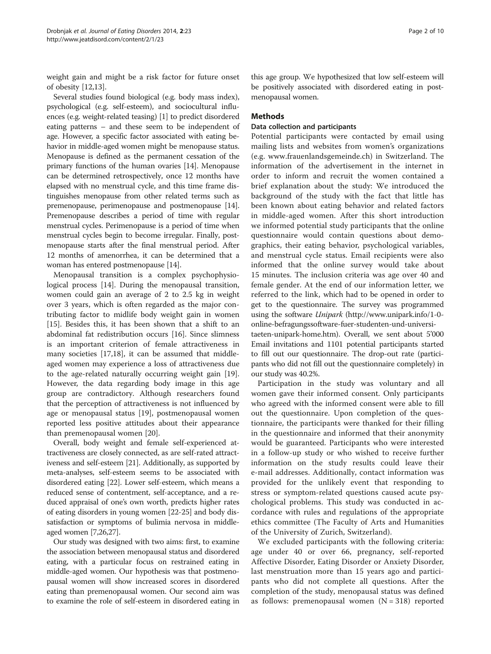weight gain and might be a risk factor for future onset of obesity [\[12,13](#page-8-0)].

Several studies found biological (e.g. body mass index), psychological (e.g. self-esteem), and sociocultural influences (e.g. weight-related teasing) [\[1\]](#page-8-0) to predict disordered eating patterns – and these seem to be independent of age. However, a specific factor associated with eating behavior in middle-aged women might be menopause status. Menopause is defined as the permanent cessation of the primary functions of the human ovaries [\[14\]](#page-8-0). Menopause can be determined retrospectively, once 12 months have elapsed with no menstrual cycle, and this time frame distinguishes menopause from other related terms such as premenopause, perimenopause and postmenopause [[14](#page-8-0)]. Premenopause describes a period of time with regular menstrual cycles. Perimenopause is a period of time when menstrual cycles begin to become irregular. Finally, postmenopause starts after the final menstrual period. After 12 months of amenorrhea, it can be determined that a woman has entered postmenopause [\[14\]](#page-8-0).

Menopausal transition is a complex psychophysiological process [[14](#page-8-0)]. During the menopausal transition, women could gain an average of 2 to 2.5 kg in weight over 3 years, which is often regarded as the major contributing factor to midlife body weight gain in women [[15\]](#page-8-0). Besides this, it has been shown that a shift to an abdominal fat redistribution occurs [\[16](#page-8-0)]. Since slimness is an important criterion of female attractiveness in many societies [\[17,18\]](#page-8-0), it can be assumed that middleaged women may experience a loss of attractiveness due to the age-related naturally occurring weight gain [\[19](#page-8-0)]. However, the data regarding body image in this age group are contradictory. Although researchers found that the perception of attractiveness is not influenced by age or menopausal status [\[19\]](#page-8-0), postmenopausal women reported less positive attitudes about their appearance than premenopausal women [\[20\]](#page-8-0).

Overall, body weight and female self-experienced attractiveness are closely connected, as are self-rated attractiveness and self-esteem [[21](#page-8-0)]. Additionally, as supported by meta-analyses, self-esteem seems to be associated with disordered eating [\[22\]](#page-8-0). Lower self-esteem, which means a reduced sense of contentment, self-acceptance, and a reduced appraisal of one's own worth, predicts higher rates of eating disorders in young women [\[22-25\]](#page-8-0) and body dissatisfaction or symptoms of bulimia nervosa in middleaged women [[7,26,27\]](#page-8-0).

Our study was designed with two aims: first, to examine the association between menopausal status and disordered eating, with a particular focus on restrained eating in middle-aged women. Our hypothesis was that postmenopausal women will show increased scores in disordered eating than premenopausal women. Our second aim was to examine the role of self-esteem in disordered eating in

this age group. We hypothesized that low self-esteem will be positively associated with disordered eating in postmenopausal women.

## Methods

### Data collection and participants

Potential participants were contacted by email using mailing lists and websites from women's organizations (e.g. [www.frauenlandsgemeinde.ch](http://www.frauenlandsgemeinde.ch)) in Switzerland. The information of the advertisement in the internet in order to inform and recruit the women contained a brief explanation about the study: We introduced the background of the study with the fact that little has been known about eating behavior and related factors in middle-aged women. After this short introduction we informed potential study participants that the online questionnaire would contain questions about demographics, their eating behavior, psychological variables, and menstrual cycle status. Email recipients were also informed that the online survey would take about 15 minutes. The inclusion criteria was age over 40 and female gender. At the end of our information letter, we referred to the link, which had to be opened in order to get to the questionnaire. The survey was programmed using the software Unipark [\(http://www.unipark.info/1-0](http://www.unipark.info/1-0-online-befragungssoftware-fuer-studenten-und-universitaeten-unipark-home.htm) [online-befragungssoftware-fuer-studenten-und-universi](http://www.unipark.info/1-0-online-befragungssoftware-fuer-studenten-und-universitaeten-unipark-home.htm)[taeten-unipark-home.htm\)](http://www.unipark.info/1-0-online-befragungssoftware-fuer-studenten-und-universitaeten-unipark-home.htm). Overall, we sent about 5'000 Email invitations and 1101 potential participants started to fill out our questionnaire. The drop-out rate (participants who did not fill out the questionnaire completely) in

our study was 40.2%. Participation in the study was voluntary and all women gave their informed consent. Only participants who agreed with the informed consent were able to fill out the questionnaire. Upon completion of the questionnaire, the participants were thanked for their filling in the questionnaire and informed that their anonymity would be guaranteed. Participants who were interested in a follow-up study or who wished to receive further information on the study results could leave their e-mail addresses. Additionally, contact information was provided for the unlikely event that responding to stress or symptom-related questions caused acute psychological problems. This study was conducted in accordance with rules and regulations of the appropriate ethics committee (The Faculty of Arts and Humanities of the University of Zurich, Switzerland).

We excluded participants with the following criteria: age under 40 or over 66, pregnancy, self-reported Affective Disorder, Eating Disorder or Anxiety Disorder, last menstruation more than 15 years ago and participants who did not complete all questions. After the completion of the study, menopausal status was defined as follows: premenopausal women  $(N = 318)$  reported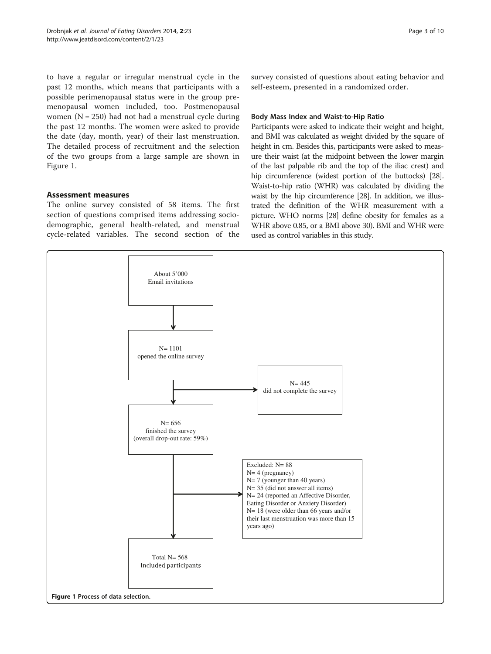to have a regular or irregular menstrual cycle in the past 12 months, which means that participants with a possible perimenopausal status were in the group premenopausal women included, too. Postmenopausal women  $(N = 250)$  had not had a menstrual cycle during the past 12 months. The women were asked to provide the date (day, month, year) of their last menstruation. The detailed process of recruitment and the selection of the two groups from a large sample are shown in Figure 1.

## Assessment measures

The online survey consisted of 58 items. The first section of questions comprised items addressing sociodemographic, general health-related, and menstrual cycle-related variables. The second section of the

## Body Mass Index and Waist-to-Hip Ratio

Participants were asked to indicate their weight and height, and BMI was calculated as weight divided by the square of height in cm. Besides this, participants were asked to measure their waist (at the midpoint between the lower margin of the last palpable rib and the top of the iliac crest) and hip circumference (widest portion of the buttocks) [\[28](#page-8-0)]. Waist-to-hip ratio (WHR) was calculated by dividing the waist by the hip circumference [\[28\]](#page-8-0). In addition, we illustrated the definition of the WHR measurement with a picture. WHO norms [[28](#page-8-0)] define obesity for females as a WHR above 0.85, or a BMI above 30). BMI and WHR were used as control variables in this study.

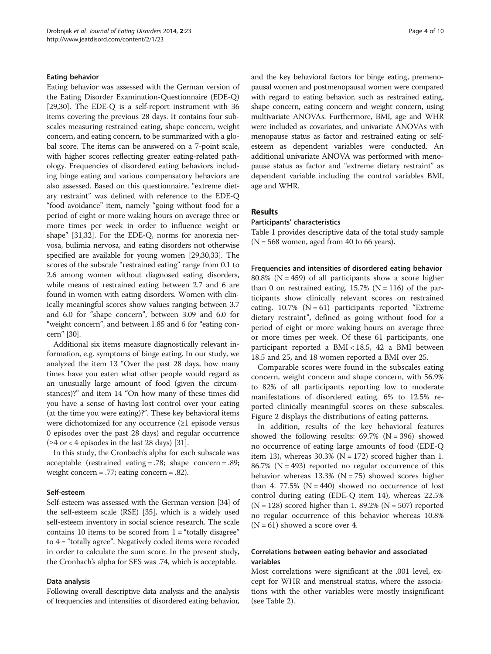#### Eating behavior

Eating behavior was assessed with the German version of the Eating Disorder Examination-Questionnaire (EDE-Q) [[29,30](#page-8-0)]. The EDE-Q is a self-report instrument with 36 items covering the previous 28 days. It contains four subscales measuring restrained eating, shape concern, weight concern, and eating concern, to be summarized with a global score. The items can be answered on a 7-point scale, with higher scores reflecting greater eating-related pathology. Frequencies of disordered eating behaviors including binge eating and various compensatory behaviors are also assessed. Based on this questionnaire, "extreme dietary restraint" was defined with reference to the EDE-Q "food avoidance" item, namely "going without food for a period of eight or more waking hours on average three or more times per week in order to influence weight or shape" [\[31,32](#page-8-0)]. For the EDE-Q, norms for anorexia nervosa, bulimia nervosa, and eating disorders not otherwise specified are available for young women [\[29,30,33](#page-8-0)]. The scores of the subscale "restrained eating" range from 0.1 to 2.6 among women without diagnosed eating disorders, while means of restrained eating between 2.7 and 6 are found in women with eating disorders. Women with clinically meaningful scores show values ranging between 3.7 and 6.0 for "shape concern", between 3.09 and 6.0 for "weight concern", and between 1.85 and 6 for "eating concern" [\[30\]](#page-8-0).

Additional six items measure diagnostically relevant information, e.g. symptoms of binge eating. In our study, we analyzed the item 13 "Over the past 28 days, how many times have you eaten what other people would regard as an unusually large amount of food (given the circumstances)?" and item 14 "On how many of these times did you have a sense of having lost control over your eating (at the time you were eating)?". These key behavioral items were dichotomized for any occurrence  $(\geq 1)$  episode versus 0 episodes over the past 28 days) and regular occurrence  $(≥4$  or < 4 episodes in the last 28 days) [\[31\]](#page-8-0).

In this study, the Cronbach's alpha for each subscale was acceptable (restrained eating = .78; shape concern = .89; weight concern = .77; eating concern = .82).

#### Self-esteem

Self-esteem was assessed with the German version [[34](#page-8-0)] of the self-esteem scale (RSE) [[35](#page-8-0)], which is a widely used self-esteem inventory in social science research. The scale contains 10 items to be scored from  $1 =$  "totally disagree" to 4 = "totally agree". Negatively coded items were recoded in order to calculate the sum score. In the present study, the Cronbach's alpha for SES was .74, which is acceptable.

#### Data analysis

Following overall descriptive data analysis and the analysis of frequencies and intensities of disordered eating behavior, and the key behavioral factors for binge eating, premenopausal women and postmenopausal women were compared with regard to eating behavior, such as restrained eating, shape concern, eating concern and weight concern, using multivariate ANOVAs. Furthermore, BMI, age and WHR were included as covariates, and univariate ANOVAs with menopause status as factor and restrained eating or selfesteem as dependent variables were conducted. An additional univariate ANOVA was performed with menopause status as factor and "extreme dietary restraint" as dependent variable including the control variables BMI, age and WHR.

#### Results

#### Participants' characteristics

Table [1](#page-4-0) provides descriptive data of the total study sample  $(N = 568$  women, aged from 40 to 66 years).

### Frequencies and intensities of disordered eating behavior

80.8% ( $N = 459$ ) of all participants show a score higher than 0 on restrained eating.  $15.7\%$  (N = 116) of the participants show clinically relevant scores on restrained eating.  $10.7\%$  (N = 61) participants reported "Extreme" dietary restraint", defined as going without food for a period of eight or more waking hours on average three or more times per week. Of these 61 participants, one participant reported a BMI < 18.5, 42 a BMI between 18.5 and 25, and 18 women reported a BMI over 25.

Comparable scores were found in the subscales eating concern, weight concern and shape concern, with 56.9% to 82% of all participants reporting low to moderate manifestations of disordered eating. 6% to 12.5% reported clinically meaningful scores on these subscales. Figure [2](#page-4-0) displays the distributions of eating patterns.

In addition, results of the key behavioral features showed the following results:  $69.7\%$  (N = 396) showed no occurrence of eating large amounts of food (EDE-Q item 13), whereas  $30.3\%$  (N = 172) scored higher than 1. 86.7% ( $N = 493$ ) reported no regular occurrence of this behavior whereas  $13.3\%$  (N = 75) showed scores higher than 4. 77.5% ( $N = 440$ ) showed no occurrence of lost control during eating (EDE-Q item 14), whereas 22.5%  $(N = 128)$  scored higher than 1. 89.2%  $(N = 507)$  reported no regular occurrence of this behavior whereas 10.8%  $(N = 61)$  showed a score over 4.

## Correlations between eating behavior and associated variables

Most correlations were significant at the .001 level, except for WHR and menstrual status, where the associations with the other variables were mostly insignificant (see Table [2\)](#page-5-0).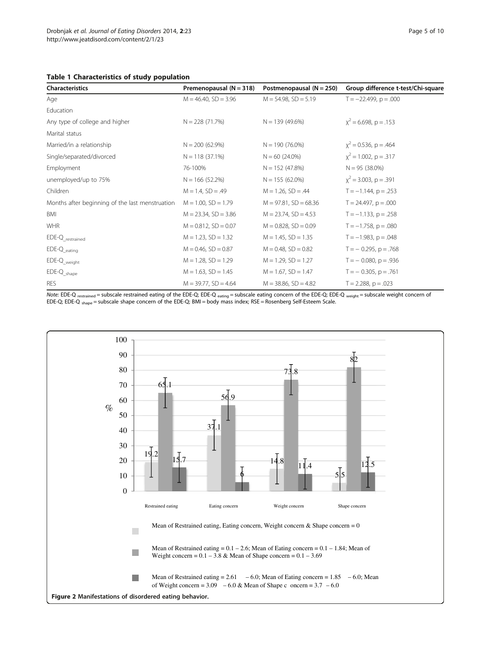<span id="page-4-0"></span>

| <b>Characteristics</b>                              | Premenopausal $(N = 318)$ | Postmenopausal $(N = 250)$ | Group difference t-test/Chi-square |
|-----------------------------------------------------|---------------------------|----------------------------|------------------------------------|
| Age                                                 | $M = 46.40$ , $SD = 3.96$ | $M = 54.98$ , $SD = 5.19$  | $T = -22.499$ , $p = .000$         |
| Education                                           |                           |                            |                                    |
| Any type of college and higher                      | $N = 228(71.7%)$          | $N = 139(49.6%)$           | $x^2$ = 6.698, p = .153            |
| Marital status                                      |                           |                            |                                    |
| Married/in a relationship                           | $N = 200(62.9%)$          | $N = 190(76.0\%)$          | $x^2$ = 0.536, p = .464            |
| Single/separated/divorced                           | $N = 118(37.1\%)$         | $N = 60$ (24.0%)           | $x^2 = 1.002$ , p = .317           |
| Employment                                          | 76-100%                   | $N = 152(47.8%)$           | $N = 95(38.0\%)$                   |
| unemployed/up to 75%                                | $N = 166(52.2%)$          | $N = 155(62.0\%)$          | $x^2$ = 3.003, p = .391            |
| Children                                            | $M = 1.4$ , $SD = .49$    | $M = 1.26$ , $SD = .44$    | $T = -1.144$ , p = .253            |
| Months after beginning of the last menstruation     | $M = 1.00$ , $SD = 1.79$  | $M = 97.81$ , $SD = 68.36$ | $T = 24.497$ , $p = .000$          |
| BMI                                                 | $M = 23.34$ , $SD = 3.86$ | $M = 23.74$ , $SD = 4.53$  | $T = -1.133$ , $p = .258$          |
| <b>WHR</b>                                          | $M = 0.812$ , $SD = 0.07$ | $M = 0.828$ , $SD = 0.09$  | $T = -1.758$ , $p = .080$          |
| EDE-Q_restrained                                    | $M = 1.23$ , $SD = 1.32$  | $M = 1.45$ , $SD = 1.35$   | $T = -1.983$ , $p = .048$          |
| $EDE-Q$ <sub>_eating</sub>                          | $M = 0.46$ , $SD = 0.87$  | $M = 0.48$ , $SD = 0.82$   | $T = -0.295$ , $p = .768$          |
| $EDE-Q_{weight}$                                    | $M = 1.28$ , $SD = 1.29$  | $M = 1.29$ , $SD = 1.27$   | $T = -0.080$ , $p = 0.936$         |
| $\mathsf{EDE}\text{-}\mathsf{Q}_{\mathsf{\_}shape}$ | $M = 1.63$ , $SD = 1.45$  | $M = 1.67$ , $SD = 1.47$   | $T = -0.305$ , $p = .761$          |
| <b>RES</b>                                          | $M = 39.77$ , $SD = 4.64$ | $M = 38.86$ , $SD = 4.82$  | $T = 2.288$ , $p = .023$           |

Note: EDE-Q  $_{\text{restricted}}$  = subscale restrained eating of the EDE-Q; EDE-Q  $_{\text{eating}}$  = subscale eating concern of the EDE-Q; EDE-Q  $_{\text{weight}}$  = subscale weight concern of EDE-Q; EDE-Q shape = subscale shape concern of the EDE-Q; BMI = body mass index; RSE = Rosenberg Self-Esteem Scale.

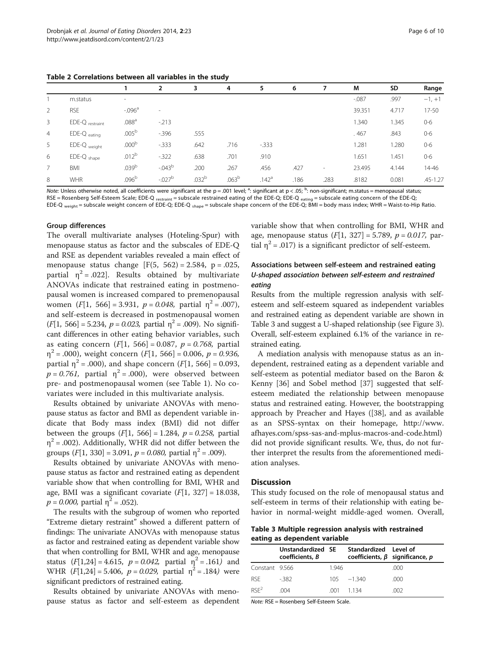|                |                         |                          | $\overline{2}$           | 3                 | 4                 | 5                 | 6    |        | M        | SD    | Range        |
|----------------|-------------------------|--------------------------|--------------------------|-------------------|-------------------|-------------------|------|--------|----------|-------|--------------|
|                | m.status                | $\overline{\phantom{a}}$ |                          |                   |                   |                   |      |        | $-0.087$ | .997  | $-1, +1$     |
| 2              | <b>RSE</b>              | $-0.096$ <sup>a</sup>    | $\overline{\phantom{a}}$ |                   |                   |                   |      |        | 39.351   | 4.717 | 17-50        |
| 3              | EDE-Q restraint         | .088 <sup>a</sup>        | $-213$                   |                   |                   |                   |      |        | 1.340    | 1.345 | $0-6$        |
| $\overline{4}$ | EDE-Q eating            | .005 <sup>b</sup>        | $-396$                   | .555              |                   |                   |      |        | .467     | .843  | 0-6          |
| 5              | EDE-Q <sub>weight</sub> | .000 <sup>b</sup>        | $-333$                   | .642              | .716              | $-333$            |      |        | 1.281    | 1.280 | 0-6          |
| 6              | EDE-Q <sub>shape</sub>  | .012 <sup>b</sup>        | $-322$                   | .638              | .701              | .910              |      |        | 1.651    | 1.451 | 0-6          |
| 7              | <b>BMI</b>              | .039 <sup>b</sup>        | $-0.043^{b}$             | .200              | .267              | .456              | .427 | $\sim$ | 23.495   | 4.144 | 14-46        |
| 8              | WHR                     | .096 <sup>b</sup>        | $-0.027^{b}$             | .032 <sup>b</sup> | .063 <sup>b</sup> | .142 <sup>a</sup> | .186 | .283   | .8182    | 0.081 | $.45 - 1.27$ |

<span id="page-5-0"></span>Table 2 Correlations between all variables in the study

Note: Unless otherwise noted, all coefficients were significant at the p = .001 level; <sup>a</sup>: significant at p < .05; <sup>b</sup>: non-significant; m.status = menopausal status, RSE = Rosenberg Self-Esteem Scale; EDE-Q restraint = subscale restrained eating of the EDE-Q; EDE-Q eating = subscale eating concern of the EDE-Q; EDE-Q weight = subscale weight concern of EDE-Q; EDE-Q shape = subscale shape concern of the EDE-Q; BMI = body mass index; WHR = Waist-to-Hip Ratio.

#### Group differences

The overall multivariate analyses (Hoteling-Spur) with menopause status as factor and the subscales of EDE-Q and RSE as dependent variables revealed a main effect of menopause status change  $[F(5, 562) = 2.584, p = .025,$ partial  $\eta^2 = .022$ ]. Results obtained by multivariate ANOVAs indicate that restrained eating in postmenopausal women is increased compared to premenopausal women  $(F[1, 566] = 3.931, p = 0.048,$  partial  $\eta^2 = .007$ ), and self-esteem is decreased in postmenopausal women  $(F[1, 566] = 5.234, p = 0.023,$  partial  $\eta^2 = .009$ ). No significant differences in other eating behavior variables, such as eating concern  $(F[1, 566] = 0.087, p = 0.768,$  partial  $\eta^2$  = .000), weight concern (*F*[1, 566] = 0.006, *p* = 0.936, partial  $\eta^2$  = .000), and shape concern (*F*[1, 566] = 0.093,  $p = 0.761$ , partial  $\eta^2 = .000$ ), were observed between pre- and postmenopausal women (see Table [1](#page-4-0)). No covariates were included in this multivariate analysis.

Results obtained by univariate ANOVAs with menopause status as factor and BMI as dependent variable indicate that Body mass index (BMI) did not differ between the groups  $(F[1, 566] = 1.284, p = 0.258,$  partial  $\eta^2$  = .002). Additionally, WHR did not differ between the groups  $(F[1, 330] = 3.091, p = 0.080,$  partial  $\eta^2 = .009$ ).

Results obtained by univariate ANOVAs with menopause status as factor and restrained eating as dependent variable show that when controlling for BMI, WHR and age, BMI was a significant covariate  $(F[1, 327] = 18.038$ ,  $p = 0.000$ , partial  $\eta^2 = .052$ ).

The results with the subgroup of women who reported "Extreme dietary restraint" showed a different pattern of findings: The univariate ANOVAs with menopause status as factor and restrained eating as dependent variable show that when controlling for BMI, WHR and age, menopause status  $(F[1,24] = 4.615, p = 0.042,$  $(F[1,24] = 4.615, p = 0.042,$  $(F[1,24] = 4.615, p = 0.042,$  partial  $\eta^2 = .161$ ) and WHR  $(F[1,24] = 5.406, p = 0.029,$  $(F[1,24] = 5.406, p = 0.029,$  $(F[1,24] = 5.406, p = 0.029,$  partial  $\eta^2 = .184$ ) were significant predictors of restrained eating.

Results obtained by univariate ANOVAs with menopause status as factor and self-esteem as dependent variable show that when controlling for BMI, WHR and age, menopause status  $(F[1, 327] = 5.789, p = 0.017, p = 0.017)$ tial  $\eta^2$  = .017) is a significant predictor of self-esteem.

## Associations between self-esteem and restrained eating U-shaped association between self-esteem and restrained eating

Results from the multiple regression analysis with selfesteem and self-esteem squared as independent variables and restrained eating as dependent variable are shown in Table 3 and suggest a U-shaped relationship (see Figure [3](#page-6-0)). Overall, self-esteem explained 6.1% of the variance in restrained eating.

A mediation analysis with menopause status as an independent, restrained eating as a dependent variable and self-esteem as potential mediator based on the Baron & Kenny [\[36](#page-8-0)] and Sobel method [\[37\]](#page-8-0) suggested that selfesteem mediated the relationship between menopause status and restrained eating. However, the bootstrapping approach by Preacher and Hayes ([\[38](#page-8-0)], and as available as an SPSS-syntax on their homepage, [http://www.](http://www.afhayes.com/spss-sas-and-mplus-macros-and-code.html) [afhayes.com/spss-sas-and-mplus-macros-and-code.html\)](http://www.afhayes.com/spss-sas-and-mplus-macros-and-code.html) did not provide significant results. We, thus, do not further interpret the results from the aforementioned mediation analyses.

#### **Discussion**

This study focused on the role of menopausal status and self-esteem in terms of their relationship with eating behavior in normal-weight middle-aged women. Overall,

Table 3 Multiple regression analysis with restrained eating as dependent variable

|                  | Unstandardized SE<br>coefficients, B |        | Standardized Level of | coefficients, $\beta$ significance, p |
|------------------|--------------------------------------|--------|-----------------------|---------------------------------------|
| Constant 9.566   |                                      | 1 946  |                       | .000                                  |
| RSE.             | - 382                                |        | $105 - 1340$          | .000                                  |
| RSE <sup>2</sup> | 004                                  | (1()1] | 1134                  | 002                                   |

Note: RSE = Rosenberg Self-Esteem Scale.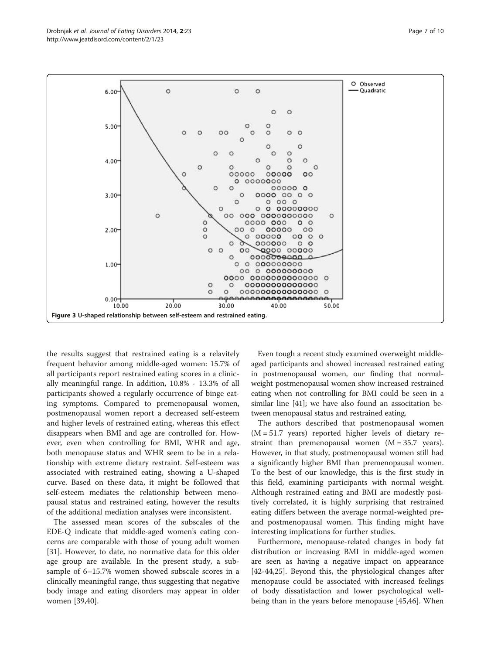<span id="page-6-0"></span>

the results suggest that restrained eating is a relavitely frequent behavior among middle-aged women: 15.7% of all participants report restrained eating scores in a clinically meaningful range. In addition, 10.8% - 13.3% of all participants showed a regularly occurrence of binge eating symptoms. Compared to premenopausal women, postmenopausal women report a decreased self-esteem and higher levels of restrained eating, whereas this effect disappears when BMI and age are controlled for. However, even when controlling for BMI, WHR and age, both menopause status and WHR seem to be in a relationship with extreme dietary restraint. Self-esteem was associated with restrained eating, showing a U-shaped curve. Based on these data, it might be followed that self-esteem mediates the relationship between menopausal status and restrained eating, however the results of the additional mediation analyses were inconsistent.

The assessed mean scores of the subscales of the EDE-Q indicate that middle-aged women's eating concerns are comparable with those of young adult women [[31\]](#page-8-0). However, to date, no normative data for this older age group are available. In the present study, a subsample of 6–15.7% women showed subscale scores in a clinically meaningful range, thus suggesting that negative body image and eating disorders may appear in older women [[39,40\]](#page-8-0).

Even tough a recent study examined overweight middleaged participants and showed increased restrained eating in postmenopausal women, our finding that normalweight postmenopausal women show increased restrained eating when not controlling for BMI could be seen in a similar line [[41](#page-8-0)]; we have also found an associtation between menopausal status and restrained eating.

The authors described that postmenopausal women  $(M = 51.7$  years) reported higher levels of dietary restraint than premenopausal women  $(M = 35.7 \text{ years})$ . However, in that study, postmenopausal women still had a significantly higher BMI than premenopausal women. To the best of our knowledge, this is the first study in this field, examining participants with normal weight. Although restrained eating and BMI are modestly positively correlated, it is highly surprising that restrained eating differs between the average normal-weighted preand postmenopausal women. This finding might have interesting implications for further studies.

Furthermore, menopause-related changes in body fat distribution or increasing BMI in middle-aged women are seen as having a negative impact on appearance [[42-](#page-8-0)[44](#page-9-0)[,25\]](#page-8-0). Beyond this, the physiological changes after menopause could be associated with increased feelings of body dissatisfaction and lower psychological wellbeing than in the years before menopause [\[45,46](#page-9-0)]. When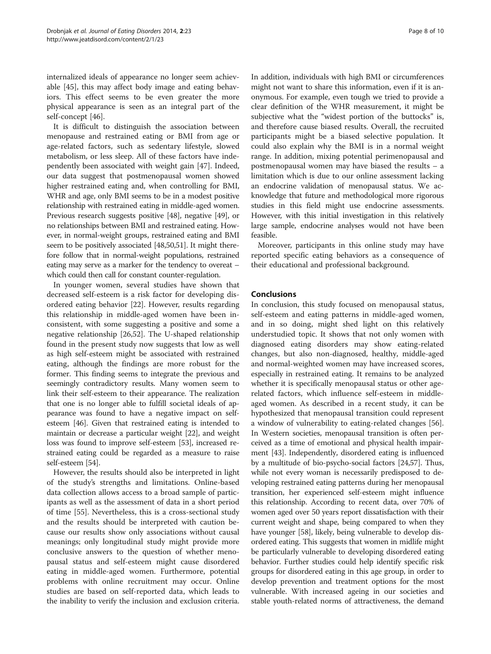internalized ideals of appearance no longer seem achievable [\[45](#page-9-0)], this may affect body image and eating behaviors. This effect seems to be even greater the more physical appearance is seen as an integral part of the self-concept [\[46\]](#page-9-0).

It is difficult to distinguish the association between menopause and restrained eating or BMI from age or age-related factors, such as sedentary lifestyle, slowed metabolism, or less sleep. All of these factors have independently been associated with weight gain [\[47\]](#page-9-0). Indeed, our data suggest that postmenopausal women showed higher restrained eating and, when controlling for BMI, WHR and age, only BMI seems to be in a modest positive relationship with restrained eating in middle-aged women. Previous research suggests positive [\[48](#page-9-0)], negative [\[49](#page-9-0)], or no relationships between BMI and restrained eating. However, in normal-weight groups, restrained eating and BMI seem to be positively associated [[48,50,51\]](#page-9-0). It might therefore follow that in normal-weight populations, restrained eating may serve as a marker for the tendency to overeat – which could then call for constant counter-regulation.

In younger women, several studies have shown that decreased self-esteem is a risk factor for developing disordered eating behavior [[22](#page-8-0)]. However, results regarding this relationship in middle-aged women have been inconsistent, with some suggesting a positive and some a negative relationship [[26,](#page-8-0)[52\]](#page-9-0). The U-shaped relationship found in the present study now suggests that low as well as high self-esteem might be associated with restrained eating, although the findings are more robust for the former. This finding seems to integrate the previous and seemingly contradictory results. Many women seem to link their self-esteem to their appearance. The realization that one is no longer able to fulfill societal ideals of appearance was found to have a negative impact on selfesteem [\[46\]](#page-9-0). Given that restrained eating is intended to maintain or decrease a particular weight [[22](#page-8-0)], and weight loss was found to improve self-esteem [[53](#page-9-0)], increased restrained eating could be regarded as a measure to raise self-esteem [[54](#page-9-0)].

However, the results should also be interpreted in light of the study's strengths and limitations. Online-based data collection allows access to a broad sample of participants as well as the assessment of data in a short period of time [[55\]](#page-9-0). Nevertheless, this is a cross-sectional study and the results should be interpreted with caution because our results show only associations without causal meanings; only longitudinal study might provide more conclusive answers to the question of whether menopausal status and self-esteem might cause disordered eating in middle-aged women. Furthermore, potential problems with online recruitment may occur. Online studies are based on self-reported data, which leads to the inability to verify the inclusion and exclusion criteria. In addition, individuals with high BMI or circumferences might not want to share this information, even if it is anonymous. For example, even tough we tried to provide a clear definition of the WHR measurement, it might be subjective what the "widest portion of the buttocks" is, and therefore cause biased results. Overall, the recruited participants might be a biased selective population. It could also explain why the BMI is in a normal weight range. In addition, mixing potential perimenopausal and postmenopausal women may have biased the results – a limitation which is due to our online assessment lacking an endocrine validation of menopausal status. We acknowledge that future and methodological more rigorous studies in this field might use endocrine assessments. However, with this initial investigation in this relatively large sample, endocrine analyses would not have been feasible.

Moreover, participants in this online study may have reported specific eating behaviors as a consequence of their educational and professional background.

## Conclusions

In conclusion, this study focused on menopausal status, self-esteem and eating patterns in middle-aged women, and in so doing, might shed light on this relatively understudied topic. It shows that not only women with diagnosed eating disorders may show eating-related changes, but also non-diagnosed, healthy, middle-aged and normal-weighted women may have increased scores, especially in restrained eating. It remains to be analyzed whether it is specifically menopausal status or other agerelated factors, which influence self-esteem in middleaged women. As described in a recent study, it can be hypothesized that menopausal transition could represent a window of vulnerability to eating-related changes [\[56](#page-9-0)]. In Western societies, menopausal transition is often perceived as a time of emotional and physical health impairment [\[43\]](#page-9-0). Independently, disordered eating is influenced by a multitude of bio-psycho-social factors [[24](#page-8-0)[,57](#page-9-0)]. Thus, while not every woman is necessarily predisposed to developing restrained eating patterns during her menopausal transition, her experienced self-esteem might influence this relationship. According to recent data, over 70% of women aged over 50 years report dissatisfaction with their current weight and shape, being compared to when they have younger [[58](#page-9-0)], likely, being vulnerable to develop disordered eating. This suggests that women in midlife might be particularly vulnerable to developing disordered eating behavior. Further studies could help identify specific risk groups for disordered eating in this age group, in order to develop prevention and treatment options for the most vulnerable. With increased ageing in our societies and stable youth-related norms of attractiveness, the demand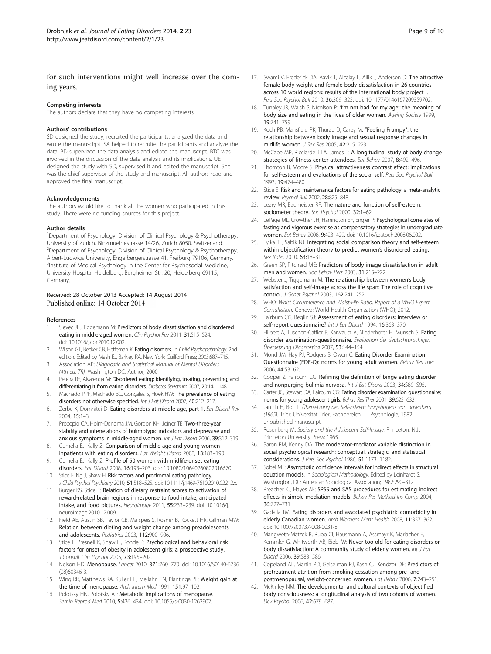<span id="page-8-0"></span>for such interventions might well increase over the coming years.

#### Competing interests

The authors declare that they have no competing interests.

#### Authors' contributions

SD designed the study, recruited the participants, analyzed the data and wrote the manuscirpt. SA helped to recruite the participants and analyze the data. BD supervized the data analysis and edited the manuscript. BTC was involved in the discussion of the data analysis and its implications. UE designed the study with SD, supervised it and edited the manuscript. She was the chief supervisor of the study and manuscript. All authors read and approved the final manuscript.

#### Acknowledgements

The authors would like to thank all the women who participated in this study. There were no funding sources for this project.

#### Author details

<sup>1</sup>Department of Psychology, Division of Clinical Psychology & Psychotherapy, University of Zurich, Binzmuehlestrasse 14/26, Zurich 8050, Switzerland. <sup>2</sup>Department of Psychology, Division of Clinical Psychology & Psychotherapy, Albert-Ludwigs University, Engelbergerstrasse 41, Freiburg 79106, Germany. <sup>3</sup>Institute of Medical Psychology in the Center for Psychosocial Medicine, University Hospital Heidelberg, Bergheimer Str. 20, Heidelberg 69115, Germany.

#### Received: 28 October 2013 Accepted: 14 August 2014 Published online: 14 October 2014

#### References

- 1. Slevec JH, Tiggemann M: Predictors of body dissatisfaction and disordered eating in middle-aged women. Clin Psychol Rev 2011, 31:515-524. doi: 10.1016/j.cpr.2010.12.002.
- 2. Wilson GT, Becker CB, Heffernan K: Eating disorders. In Child Psychopathology. 2nd edition. Edited by Mash EJ, Barkley RA. New York: Guilford Press; 2003:687–715.
- 3. Association AP: Diagnostic and Statistical Manual of Mental Disorders (4th ed. TR). Washington DC: Author; 2000.
- 4. Pereira RF, Alvarenga M: Disordered eating: identifying, treating, preventing, and differentiating it from eating disorders. Diabetes Spectrum 2007, 20:141-148.
- 5. Machado PPP, Machado BC, Gonçales S, Hoek HW: The prevalence of eating disorders not otherwise specified. Int J Eat Disord 2007, 40:212-217.
- 6. Zerbe K, Domnitei D: Eating disorders at middle age, part 1. Eat Disord Rev 2004, 15:1–3.
- 7. Procopio CA, Holm-Denoma JM, Gordon KH, Joiner TE: Two-three-year stability and interrelations of bulimotypic indicators and depressive and anxious symptoms in middle-aged women. Int J Eat Disord 2006, 39:312–319.
- 8. Cumella EJ, Kally Z: Comparison of middle-age and young women inpatients with eating disorders. Eat Weight Disord 2008, 13:183–190.
- 9. Cumella EJ, Kally Z: Profile of 50 women with midlife-onset eating disorders. Eat Disord 2008, 16:193–203. doi: 10.1080/10640260802016670.
- 10. Stice E, Ng J, Shaw H: Risk factors and prodromal eating pathology. J Child Psychol Psychiatry 2010, 51:518–525. doi: 10.1111/j.1469-7610.2010.02212.x.
- 11. Burger KS, Stice E: Relation of dietary restraint scores to activation of reward-related brain regions in response to food intake, anticipated intake, and food pictures. Neuroimage 2011, 55:233–239. doi: 10.1016/j. neuroimage.2010.12.009.
- 12. Field AE, Austin SB, Taylor CB, Malspeis S, Rosner B, Rockett HR, Gillman MW: Relation between dieting and weight change among preadolescents and adolescents. Pediatrics 2003, 112:900–906.
- 13. Stice E, Presnell K, Shaw H, Rohde P: Psychological and behavioral risk factors for onset of obesity in adolescent girls: a prospective study. J Consult Clin Psychol 2005, 73:195–202.
- 14. Nelson HD: Menopause. Lancet 2010, 371:760–770. doi: 10.1016/S0140-6736 (08)60346-3.
- Wing RR, Matthews KA, Kuller LH, Meilahn EN, Plantinga PL: Weight gain at the time of menopause. Arch Intern Med 1991, 151:97–102.
- 16. Polotsky HN, Polotsky AJ: Metabolic implications of menopause. Semin Reprod Med 2010, 5:426–434. doi: 10.1055/s-0030-1262902.
- 17. Swami V, Frederick DA, Aavik T, Alcalay L, Allik J, Anderson D: The attractive female body weight and female body dissatisfaction in 26 countries across 10 world regions: results of the international body project I. Pers Soc Psychol Bull 2010, 36:309-325. doi: 10.1177/0146167209359702.
- 18. Tunaley JR, Walsh S, Nicolson P: 'I'm not bad for my age': the meaning of body size and eating in the lives of older women. Ageing Society 1999, 19:741–759.
- 19. Koch PB, Mansfield PK, Thurau D, Carey M: "Feeling Frumpy": the relationship between body image and sexual response changes in midlife women. J Sex Res 2005, 42:215–223.
- 20. McCabe MP, Ricciardelli LA, James T: A longitudinal study of body change strategies of fitness center attendees. Fat Behav 2007, 8:492-496.
- 21. Thornton B, Moore S: Physical attractiveness contrast effect: implications for self-esteem and evaluations of the social self. Pers Soc Psychol Bull 1993, 19:474–480.
- 22. Stice E: Risk and maintenance factors for eating pathology: a meta-analytic review. Psychol Bull 2002, 28:825–848.
- 23. Leary MR, Baumeister RF: The nature and function of self-esteem: sociometer theory. Soc Psychol 2000, 32:1-62.
- 24. LePage ML, Crowther JH, Harrington EF, Engler P: Psychological correlates of fasting and vigorous exercise as compensatory strategies in undergraduate women. Eat Behav 2008, 9:423-429. doi: 10.1016/j.eatbeh.2008.06.002.
- 25. Tylka TL, Sabik NJ: Integrating social comparison theory and self-esteem within objectification theory to predict women's disordered eating. Sex Roles 2010, 63:18-31.
- 26. Green SP, Pitchard ME: Predictors of body image dissatisfaction in adult men and women. Soc Behav Pers 2003, 31:215–222.
- 27. Webster J, Tiggemann M: The relationship between women's body satisfaction and self-image across the life span: The role of cognitive control. J Genet Psychol 2003, 162:241–252.
- 28. WHO: Waist Circumference and Waist-Hip Ratio, Report of a WHO Expert Consultation. Geneva: World Health Organization (WHO); 2012.
- 29. Fairburn CG, Beglin SJ: Assessment of eating disorders: interview or self-report questionnaire? Int J Eat Disord 1994, 16:363-370.
- 30. Hilbert A, Tuschen-Caffier B, Karwautz A, Niederhofer H, Munsch S: Eating disorder examination-questionnaire. Evaluation der deutschsprachigen Übersetzung Diagnostica 2007, 53:144–154.
- 31. Mond JM, Hay PJ, Rodgers B, Owen C: Eating Disorder Examination Questionnaire (EDE-Q): norms for young adult women. Behav Res Ther 2006, 44:53–62.
- 32. Cooper Z, Fairburn CG: Refining the definition of binge eating disorder and nonpurging bulimia nervosa. Int J Eat Disord 2003, 34:S89-S95.
- 33. Carter JC, Stewart DA, Fairburn CG: Eating disorder examination questionnaire: norms for young adolescent girls. Behav Res Ther 2001, 39:625–632.
- 34. Janich H, Boll T: Übersetzung des Self-Esteem Fragebogens von Rosenberg (1965). Trier: Universität Trier, Fachbereich I – Psychologie; 1982. unpublished manuscript.
- 35. Rosenberg M: Society and the Adolescent Self-Image. Princeton, N.J.: Princeton University Press; 1965.
- 36. Baron RM, Kenny DA: The moderator-mediator variable distinction in social psychological research: conceptual, strategic, and statistical considerations. J Pers Soc Psychol 1986, 51:1173–1182.
- 37. Sobel ME: Asymptotic confidence intervals for indirect effects in structural equation models. In Sociological Methodology. Edited by Leinhardt S. Washington, DC: American Sociological Association; 1982:290–312.
- 38. Preacher KJ, Hayes AF: SPSS and SAS procedures for estimating indirect effects in simple mediation models. Behav Res Method Ins Comp 2004,  $36:727-731$
- 39. Gadalla TM: Eating disorders and associated psychiatric comorbidity in elderly Canadian women. Arch Womens Ment Health 2008, 11:357–362. doi: 10.1007/s00737-008-0031-8.
- 40. Mangweth-Matzek B, Rupp CI, Hausmann A, Assmayr K, Mariacher E, Kemmler G, Whitworth AB, Biebl W: Never too old for eating disorders or body dissatisfaction: A community study of elderly women. Int J Eat Disord 2006, 39:583–586.
- 41. Copeland AL, Martin PD, Geiselman PJ, Rash CJ, Kendzor DE: Predictors of pretreatment attrition from smoking cessation among pre- and postmenopausal, weight-concerned women. Eat Behav 2006, 7:243–251.
- 42. McKinley NM: The developmental and cultural contexts of objectified body consciousness: a longitudinal analysis of two cohorts of women. Dev Psychol 2006, 42:679–687.